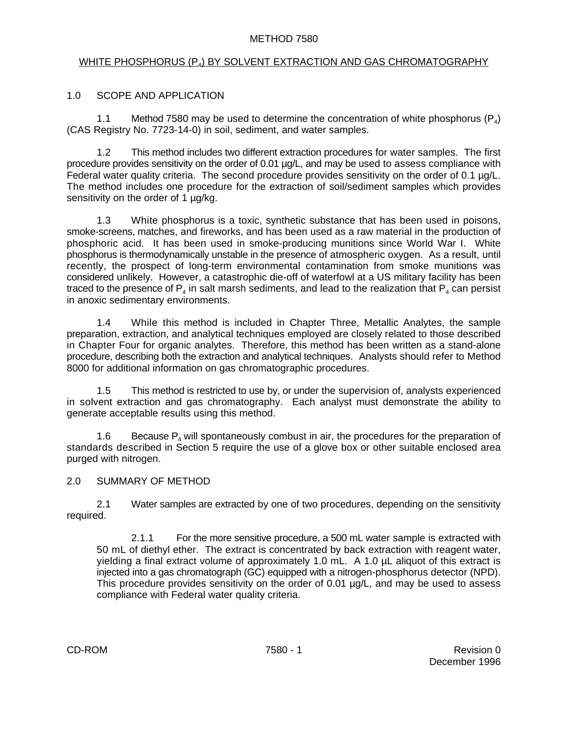#### METHOD 7580

# <u>WHITE PHOSPHORUS (P4) BY SOLVENT EXTRACTION AND GAS CHROMATOGRAPHY</u>

## 1.0 SCOPE AND APPLICATION

1.1 Method 7580 may be used to determine the concentration of white phosphorus  $(P_4)$ (CAS Registry No. 7723-14-0) in soil, sediment, and water samples.

1.2 This method includes two different extraction procedures for water samples. The first procedure provides sensitivity on the order of 0.01 µg/L, and may be used to assess compliance with Federal water quality criteria. The second procedure provides sensitivity on the order of 0.1 µg/L. The method includes one procedure for the extraction of soil/sediment samples which provides sensitivity on the order of 1 µg/kg.

1.3 White phosphorus is a toxic, synthetic substance that has been used in poisons, smoke-screens, matches, and fireworks, and has been used as a raw material in the production of phosphoric acid. It has been used in smoke-producing munitions since World War I. White phosphorus is thermodynamically unstable in the presence of atmospheric oxygen. As a result, until recently, the prospect of long-term environmental contamination from smoke munitions was considered unlikely. However, a catastrophic die-off of waterfowl at a US military facility has been traced to the presence of  $P_4$  in salt marsh sediments, and lead to the realization that  $P_4$  can persist in anoxic sedimentary environments.

1.4 While this method is included in Chapter Three, Metallic Analytes, the sample preparation, extraction, and analytical techniques employed are closely related to those described in Chapter Four for organic analytes. Therefore, this method has been written as a stand-alone procedure, describing both the extraction and analytical techniques. Analysts should refer to Method 8000 for additional information on gas chromatographic procedures.

1.5 This method is restricted to use by, or under the supervision of, analysts experienced in solvent extraction and gas chromatography. Each analyst must demonstrate the ability to generate acceptable results using this method.

1.6 Because  $P_4$  will spontaneously combust in air, the procedures for the preparation of standards described in Section 5 require the use of a glove box or other suitable enclosed area purged with nitrogen.

## 2.0 SUMMARY OF METHOD

2.1 Water samples are extracted by one of two procedures, depending on the sensitivity required.

2.1.1 For the more sensitive procedure, a 500 mL water sample is extracted with 50 mL of diethyl ether. The extract is concentrated by back extraction with reagent water, yielding a final extract volume of approximately 1.0 mL. A 1.0 µL aliquot of this extract is injected into a gas chromatograph (GC) equipped with a nitrogen-phosphorus detector (NPD). This procedure provides sensitivity on the order of 0.01  $\mu$ g/L, and may be used to assess compliance with Federal water quality criteria.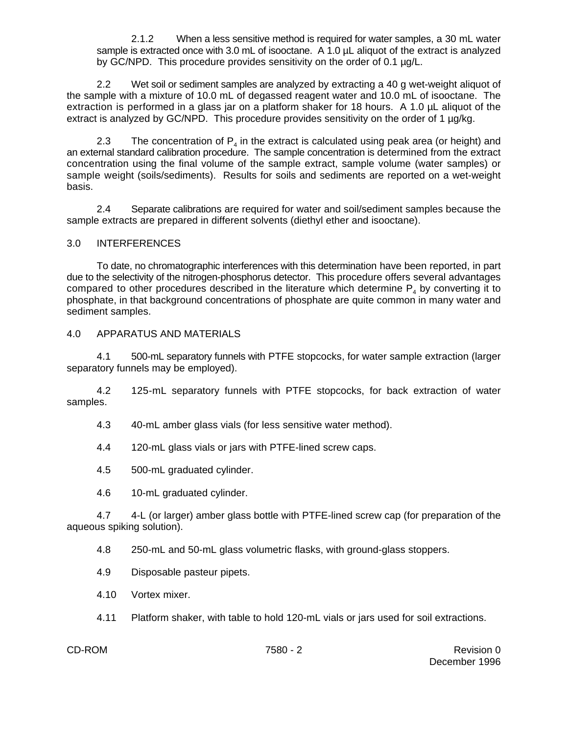2.1.2 When a less sensitive method is required for water samples, a 30 mL water sample is extracted once with 3.0 mL of isooctane. A 1.0 µL aliquot of the extract is analyzed by GC/NPD. This procedure provides sensitivity on the order of 0.1 µg/L.

2.2 Wet soil or sediment samples are analyzed by extracting a 40 g wet-weight aliquot of the sample with a mixture of 10.0 mL of degassed reagent water and 10.0 mL of isooctane. The extraction is performed in a glass jar on a platform shaker for 18 hours. A 1.0 µL aliquot of the extract is analyzed by GC/NPD. This procedure provides sensitivity on the order of 1 µg/kg.

2.3 The concentration of  $P_4$  in the extract is calculated using peak area (or height) and an external standard calibration procedure. The sample concentration is determined from the extract concentration using the final volume of the sample extract, sample volume (water samples) or sample weight (soils/sediments). Results for soils and sediments are reported on a wet-weight basis.

2.4 Separate calibrations are required for water and soil/sediment samples because the sample extracts are prepared in different solvents (diethyl ether and isooctane).

## 3.0 INTERFERENCES

To date, no chromatographic interferences with this determination have been reported, in part due to the selectivity of the nitrogen-phosphorus detector. This procedure offers several advantages compared to other procedures described in the literature which determine  $\mathsf{P}_4$  by converting it to phosphate, in that background concentrations of phosphate are quite common in many water and sediment samples.

## 4.0 APPARATUS AND MATERIALS

4.1 500-mL separatory funnels with PTFE stopcocks, for water sample extraction (larger separatory funnels may be employed).

4.2 125-mL separatory funnels with PTFE stopcocks, for back extraction of water samples.

4.3 40-mL amber glass vials (for less sensitive water method).

4.4 120-mL glass vials or jars with PTFE-lined screw caps.

4.5 500-mL graduated cylinder.

4.6 10-mL graduated cylinder.

4.7 4-L (or larger) amber glass bottle with PTFE-lined screw cap (for preparation of the aqueous spiking solution).

4.8 250-mL and 50-mL glass volumetric flasks, with ground-glass stoppers.

4.9 Disposable pasteur pipets.

4.10 Vortex mixer.

4.11 Platform shaker, with table to hold 120-mL vials or jars used for soil extractions.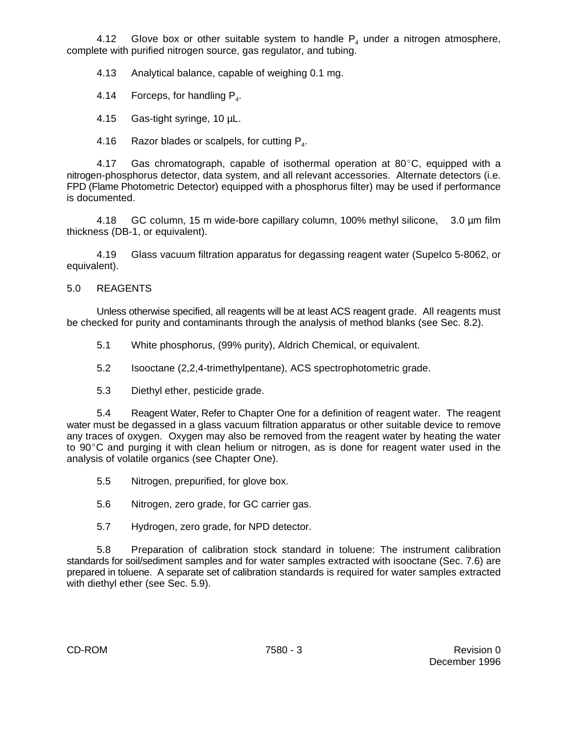4.12 Glove box or other suitable system to handle  $P_4$  under a nitrogen atmosphere, complete with purified nitrogen source, gas regulator, and tubing.

4.13 Analytical balance, capable of weighing 0.1 mg.

4.14 Forceps, for handling  $P<sub>4</sub>$ .

4.15 Gas-tight syringe, 10 µL.

4.16 Razor blades or scalpels, for cutting  $P<sub>4</sub>$ .

4.17 Gas chromatograph, capable of isothermal operation at  $80^{\circ}$ C, equipped with a nitrogen-phosphorus detector, data system, and all relevant accessories. Alternate detectors (i.e. FPD (Flame Photometric Detector) equipped with a phosphorus filter) may be used if performance is documented.

4.18 GC column, 15 m wide-bore capillary column, 100% methyl silicone, 3.0 µm film thickness (DB-1, or equivalent).

4.19 Glass vacuum filtration apparatus for degassing reagent water (Supelco 5-8062, or equivalent).

## 5.0 REAGENTS

Unless otherwise specified, all reagents will be at least ACS reagent grade. All reagents must be checked for purity and contaminants through the analysis of method blanks (see Sec. 8.2).

5.1 White phosphorus, (99% purity), Aldrich Chemical, or equivalent.

5.2 Isooctane (2,2,4-trimethylpentane), ACS spectrophotometric grade.

5.3 Diethyl ether, pesticide grade.

5.4 Reagent Water, Refer to Chapter One for a definition of reagent water. The reagent water must be degassed in a glass vacuum filtration apparatus or other suitable device to remove any traces of oxygen. Oxygen may also be removed from the reagent water by heating the water to 90°C and purging it with clean helium or nitrogen, as is done for reagent water used in the analysis of volatile organics (see Chapter One).

5.5 Nitrogen, prepurified, for glove box.

5.6 Nitrogen, zero grade, for GC carrier gas.

5.7 Hydrogen, zero grade, for NPD detector.

5.8 Preparation of calibration stock standard in toluene: The instrument calibration standards for soil/sediment samples and for water samples extracted with isooctane (Sec. 7.6) are prepared in toluene. A separate set of calibration standards is required for water samples extracted with diethyl ether (see Sec. 5.9).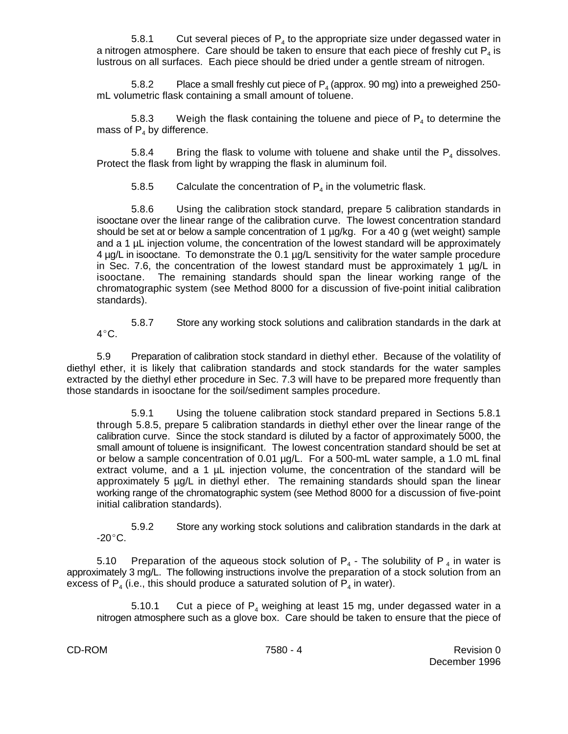5.8.1 Cut several pieces of  $P_4$  to the appropriate size under degassed water in a nitrogen atmosphere. Care should be taken to ensure that each piece of freshly cut  $\mathsf{P}_4$  is lustrous on all surfaces. Each piece should be dried under a gentle stream of nitrogen.

5.8.2 Place a small freshly cut piece of  $P_4$  (approx. 90 mg) into a preweighed 250mL volumetric flask containing a small amount of toluene.

5.8.3 Weigh the flask containing the toluene and piece of  $P_4$  to determine the mass of  $P_4$  by difference.

5.8.4 Bring the flask to volume with toluene and shake until the  $P_4$  dissolves. Protect the flask from light by wrapping the flask in aluminum foil.

5.8.5 Calculate the concentration of  $P_4$  in the volumetric flask.

5.8.6 Using the calibration stock standard, prepare 5 calibration standards in isooctane over the linear range of the calibration curve. The lowest concentration standard should be set at or below a sample concentration of 1 µg/kg. For a 40 g (wet weight) sample and a 1 µL injection volume, the concentration of the lowest standard will be approximately 4 µg/L in isooctane. To demonstrate the 0.1 µg/L sensitivity for the water sample procedure in Sec. 7.6, the concentration of the lowest standard must be approximately 1 µg/L in isooctane. The remaining standards should span the linear working range of the chromatographic system (see Method 8000 for a discussion of five-point initial calibration standards).

5.8.7 Store any working stock solutions and calibration standards in the dark at  $4^{\circ}$ C.

5.9 Preparation of calibration stock standard in diethyl ether. Because of the volatility of diethyl ether, it is likely that calibration standards and stock standards for the water samples extracted by the diethyl ether procedure in Sec. 7.3 will have to be prepared more frequently than those standards in isooctane for the soil/sediment samples procedure.

5.9.1 Using the toluene calibration stock standard prepared in Sections 5.8.1 through 5.8.5, prepare 5 calibration standards in diethyl ether over the linear range of the calibration curve. Since the stock standard is diluted by a factor of approximately 5000, the small amount of toluene is insignificant. The lowest concentration standard should be set at or below a sample concentration of 0.01 µg/L. For a 500-mL water sample, a 1.0 mL final extract volume, and a 1 µL injection volume, the concentration of the standard will be approximately 5 µg/L in diethyl ether. The remaining standards should span the linear working range of the chromatographic system (see Method 8000 for a discussion of five-point initial calibration standards).

5.9.2 Store any working stock solutions and calibration standards in the dark at -20 $^{\circ}$ C.

5.10 Preparation of the aqueous stock solution of  $P_4$  - The solubility of P<sub>4</sub> in water is approximately 3 mg/L. The following instructions involve the preparation of a stock solution from an excess of  $P_4$  (i.e., this should produce a saturated solution of  $P_4$  in water).

5.10.1 Cut a piece of  $P_4$  weighing at least 15 mg, under degassed water in a nitrogen atmosphere such as a glove box. Care should be taken to ensure that the piece of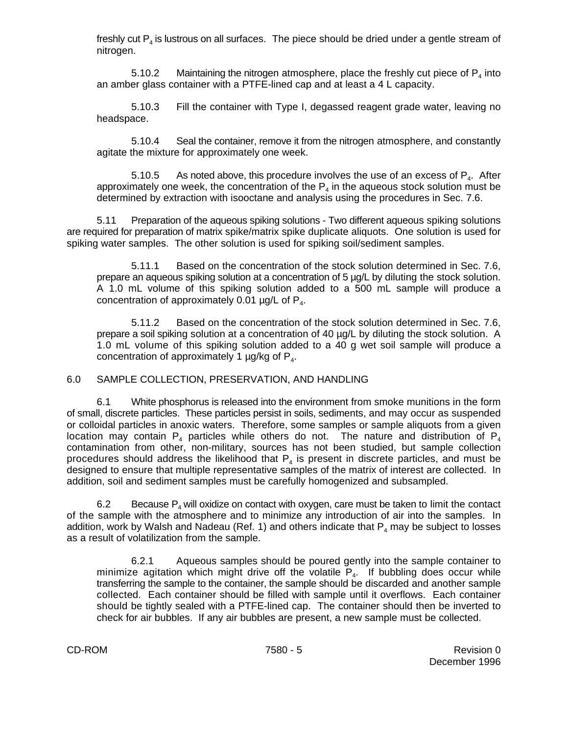freshly cut  $P_{\lambda}$  is lustrous on all surfaces. The piece should be dried under a gentle stream of nitrogen.

5.10.2 Maintaining the nitrogen atmosphere, place the freshly cut piece of  $P_4$  into an amber glass container with a PTFE-lined cap and at least a 4 L capacity.

5.10.3 Fill the container with Type I, degassed reagent grade water, leaving no headspace.

5.10.4 Seal the container, remove it from the nitrogen atmosphere, and constantly agitate the mixture for approximately one week.

5.10.5 As noted above, this procedure involves the use of an excess of  $P<sub>4</sub>$ . After approximately one week, the concentration of the  $\mathsf{P}_4$  in the aqueous stock solution must be determined by extraction with isooctane and analysis using the procedures in Sec. 7.6.

5.11 Preparation of the aqueous spiking solutions - Two different aqueous spiking solutions are required for preparation of matrix spike/matrix spike duplicate aliquots. One solution is used for spiking water samples. The other solution is used for spiking soil/sediment samples.

5.11.1 Based on the concentration of the stock solution determined in Sec. 7.6, prepare an aqueous spiking solution at a concentration of 5 µg/L by diluting the stock solution. A 1.0 mL volume of this spiking solution added to a 500 mL sample will produce a concentration of approximately 0.01  $\mu$ g/L of P<sub>4</sub>.

5.11.2 Based on the concentration of the stock solution determined in Sec. 7.6, prepare a soil spiking solution at a concentration of 40 µg/L by diluting the stock solution. A 1.0 mL volume of this spiking solution added to a 40 g wet soil sample will produce a concentration of approximately 1  $\mu$ g/kg of P<sub>4</sub>.

## 6.0 SAMPLE COLLECTION, PRESERVATION, AND HANDLING

6.1 White phosphorus is released into the environment from smoke munitions in the form of small, discrete particles. These particles persist in soils, sediments, and may occur as suspended or colloidal particles in anoxic waters. Therefore, some samples or sample aliquots from a given location may contain  $P_4$  particles while others do not. The nature and distribution of  $P_4$ contamination from other, non-military, sources has not been studied, but sample collection procedures should address the likelihood that  $P_4$  is present in discrete particles, and must be designed to ensure that multiple representative samples of the matrix of interest are collected. In addition, soil and sediment samples must be carefully homogenized and subsampled.

6.2 Because  $P_{\mu}$  will oxidize on contact with oxygen, care must be taken to limit the contact of the sample with the atmosphere and to minimize any introduction of air into the samples. In addition, work by Walsh and Nadeau (Ref. 1) and others indicate that  $\mathsf{P}_4$  may be subject to losses as a result of volatilization from the sample.

6.2.1 Aqueous samples should be poured gently into the sample container to minimize agitation which might drive off the volatile  $P_4$ . If bubbling does occur while transferring the sample to the container, the sample should be discarded and another sample collected. Each container should be filled with sample until it overflows. Each container should be tightly sealed with a PTFE-lined cap. The container should then be inverted to check for air bubbles. If any air bubbles are present, a new sample must be collected.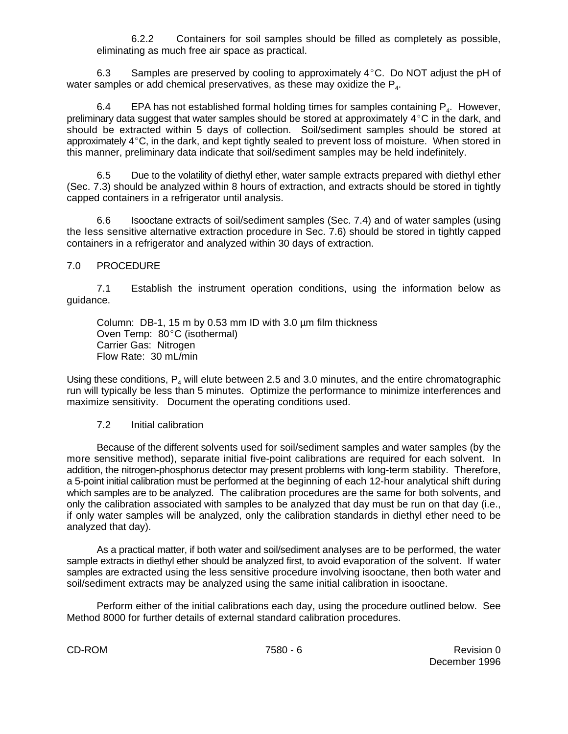6.2.2 Containers for soil samples should be filled as completely as possible, eliminating as much free air space as practical.

6.3 Samples are preserved by cooling to approximately  $4^{\circ}$ C. Do NOT adjust the pH of water samples or add chemical preservatives, as these may oxidize the  $P_{4}$ .

6.4 EPA has not established formal holding times for samples containing  $P_{\alpha}$ . However, preliminary data suggest that water samples should be stored at approximately  $4^{\circ}$ C in the dark, and should be extracted within 5 days of collection. Soil/sediment samples should be stored at approximately  $4^{\circ}$ C, in the dark, and kept tightly sealed to prevent loss of moisture. When stored in this manner, preliminary data indicate that soil/sediment samples may be held indefinitely.

6.5 Due to the volatility of diethyl ether, water sample extracts prepared with diethyl ether (Sec. 7.3) should be analyzed within 8 hours of extraction, and extracts should be stored in tightly capped containers in a refrigerator until analysis.

6.6 Isooctane extracts of soil/sediment samples (Sec. 7.4) and of water samples (using the less sensitive alternative extraction procedure in Sec. 7.6) should be stored in tightly capped containers in a refrigerator and analyzed within 30 days of extraction.

## 7.0 PROCEDURE

7.1 Establish the instrument operation conditions, using the information below as guidance.

Column: DB-1, 15 m by 0.53 mm ID with 3.0 µm film thickness Oven Temp: 80°C (isothermal) Carrier Gas: Nitrogen Flow Rate: 30 mL/min

Using these conditions,  $P_4$  will elute between 2.5 and 3.0 minutes, and the entire chromatographic run will typically be less than 5 minutes. Optimize the performance to minimize interferences and maximize sensitivity. Document the operating conditions used.

#### 7.2 Initial calibration

Because of the different solvents used for soil/sediment samples and water samples (by the more sensitive method), separate initial five-point calibrations are required for each solvent. In addition, the nitrogen-phosphorus detector may present problems with long-term stability. Therefore, a 5-point initial calibration must be performed at the beginning of each 12-hour analytical shift during which samples are to be analyzed. The calibration procedures are the same for both solvents, and only the calibration associated with samples to be analyzed that day must be run on that day (i.e., if only water samples will be analyzed, only the calibration standards in diethyl ether need to be analyzed that day).

As a practical matter, if both water and soil/sediment analyses are to be performed, the water sample extracts in diethyl ether should be analyzed first, to avoid evaporation of the solvent. If water samples are extracted using the less sensitive procedure involving isooctane, then both water and soil/sediment extracts may be analyzed using the same initial calibration in isooctane.

Perform either of the initial calibrations each day, using the procedure outlined below. See Method 8000 for further details of external standard calibration procedures.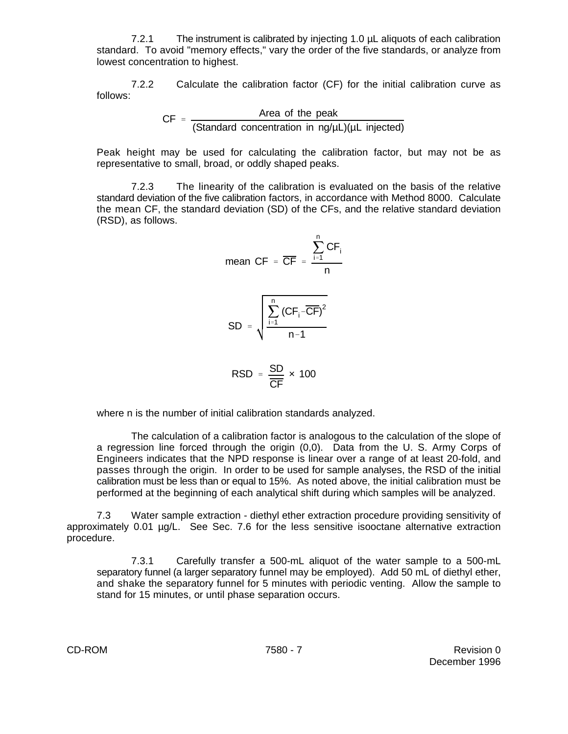7.2.1 The instrument is calibrated by injecting 1.0 µL aliquots of each calibration standard. To avoid "memory effects," vary the order of the five standards, or analyze from lowest concentration to highest.

7.2.2 Calculate the calibration factor (CF) for the initial calibration curve as follows:

> $CF = \frac{Area of the peak}{(2\pi)^{1/2}}$ (Standard concentration in ng/µL)(µL injected)

Peak height may be used for calculating the calibration factor, but may not be as representative to small, broad, or oddly shaped peaks.

7.2.3 The linearity of the calibration is evaluated on the basis of the relative standard deviation of the five calibration factors, in accordance with Method 8000. Calculate the mean CF, the standard deviation (SD) of the CFs, and the relative standard deviation (RSD), as follows.

mean CF = 
$$
\frac{\sum_{i=1}^{n} CF_i}{n}
$$

SD = 
$$
\sqrt{\frac{\sum_{i=1}^{n} (CF_i - \overline{CF})^2}{n-1}}
$$

$$
\text{RSD} = \frac{\text{SD}}{\text{CF}} \times 100
$$

where n is the number of initial calibration standards analyzed.

The calculation of a calibration factor is analogous to the calculation of the slope of a regression line forced through the origin (0,0). Data from the U. S. Army Corps of Engineers indicates that the NPD response is linear over a range of at least 20-fold, and passes through the origin. In order to be used for sample analyses, the RSD of the initial calibration must be less than or equal to 15%. As noted above, the initial calibration must be performed at the beginning of each analytical shift during which samples will be analyzed.

7.3 Water sample extraction - diethyl ether extraction procedure providing sensitivity of approximately 0.01 µg/L. See Sec. 7.6 for the less sensitive isooctane alternative extraction procedure.

7.3.1 Carefully transfer a 500-mL aliquot of the water sample to a 500-mL separatory funnel (a larger separatory funnel may be employed). Add 50 mL of diethyl ether, and shake the separatory funnel for 5 minutes with periodic venting. Allow the sample to stand for 15 minutes, or until phase separation occurs.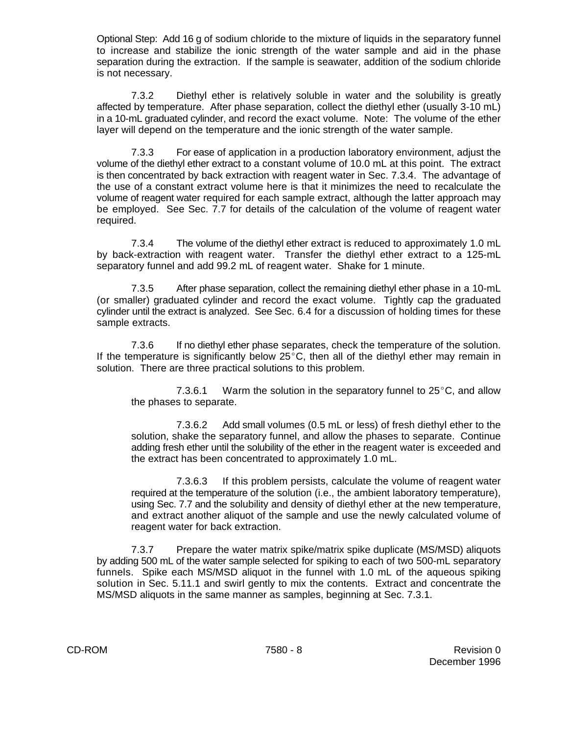Optional Step: Add 16 g of sodium chloride to the mixture of liquids in the separatory funnel to increase and stabilize the ionic strength of the water sample and aid in the phase separation during the extraction. If the sample is seawater, addition of the sodium chloride is not necessary.

7.3.2 Diethyl ether is relatively soluble in water and the solubility is greatly affected by temperature. After phase separation, collect the diethyl ether (usually 3-10 mL) in a 10-mL graduated cylinder, and record the exact volume. Note: The volume of the ether layer will depend on the temperature and the ionic strength of the water sample.

7.3.3 For ease of application in a production laboratory environment, adjust the volume of the diethyl ether extract to a constant volume of 10.0 mL at this point. The extract is then concentrated by back extraction with reagent water in Sec. 7.3.4. The advantage of the use of a constant extract volume here is that it minimizes the need to recalculate the volume of reagent water required for each sample extract, although the latter approach may be employed. See Sec. 7.7 for details of the calculation of the volume of reagent water required.

7.3.4 The volume of the diethyl ether extract is reduced to approximately 1.0 mL by back-extraction with reagent water. Transfer the diethyl ether extract to a 125-mL separatory funnel and add 99.2 mL of reagent water. Shake for 1 minute.

7.3.5 After phase separation, collect the remaining diethyl ether phase in a 10-mL (or smaller) graduated cylinder and record the exact volume. Tightly cap the graduated cylinder until the extract is analyzed. See Sec. 6.4 for a discussion of holding times for these sample extracts.

7.3.6 If no diethyl ether phase separates, check the temperature of the solution. If the temperature is significantly below  $25^{\circ}$ C, then all of the diethyl ether may remain in solution. There are three practical solutions to this problem.

7.3.6.1 Warm the solution in the separatory funnel to  $25^{\circ}$ C, and allow the phases to separate.

7.3.6.2 Add small volumes (0.5 mL or less) of fresh diethyl ether to the solution, shake the separatory funnel, and allow the phases to separate. Continue adding fresh ether until the solubility of the ether in the reagent water is exceeded and the extract has been concentrated to approximately 1.0 mL.

7.3.6.3 If this problem persists, calculate the volume of reagent water required at the temperature of the solution (i.e., the ambient laboratory temperature), using Sec. 7.7 and the solubility and density of diethyl ether at the new temperature, and extract another aliquot of the sample and use the newly calculated volume of reagent water for back extraction.

7.3.7 Prepare the water matrix spike/matrix spike duplicate (MS/MSD) aliquots by adding 500 mL of the water sample selected for spiking to each of two 500-mL separatory funnels. Spike each MS/MSD aliquot in the funnel with 1.0 mL of the aqueous spiking solution in Sec. 5.11.1 and swirl gently to mix the contents. Extract and concentrate the MS/MSD aliquots in the same manner as samples, beginning at Sec. 7.3.1.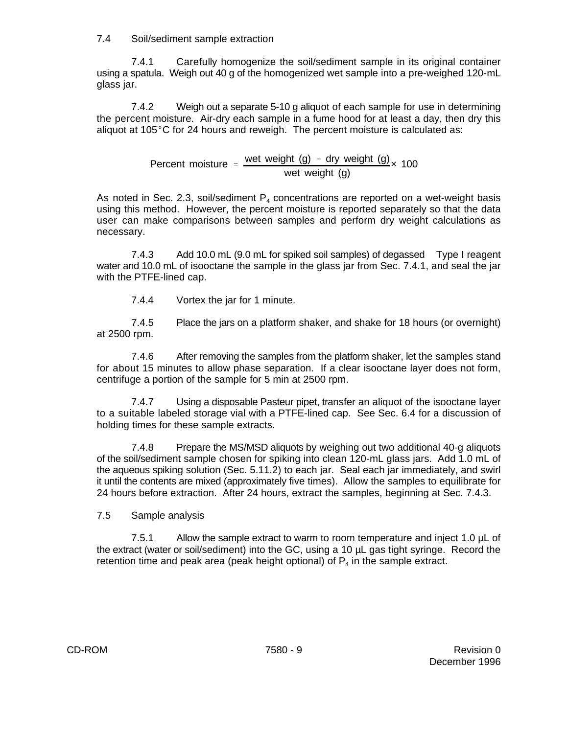7.4 Soil/sediment sample extraction

7.4.1 Carefully homogenize the soil/sediment sample in its original container using a spatula. Weigh out 40 g of the homogenized wet sample into a pre-weighed 120-mL glass jar.

7.4.2 Weigh out a separate 5-10 g aliquot of each sample for use in determining the percent moisture. Air-dry each sample in a fume hood for at least a day, then dry this aliquot at 105 $^{\circ}$ C for 24 hours and reweigh. The percent moisture is calculated as:

> Percent moisture =  $\frac{\text{wet weight (g)} - \text{dry weight (g)}}{\text{wet height (h)} + \text{key (h)}}$ wet weight (g) × 100

As noted in Sec. 2.3, soil/sediment  $P_4$  concentrations are reported on a wet-weight basis using this method. However, the percent moisture is reported separately so that the data user can make comparisons between samples and perform dry weight calculations as necessary.

7.4.3 Add 10.0 mL (9.0 mL for spiked soil samples) of degassed Type I reagent water and 10.0 mL of isooctane the sample in the glass jar from Sec. 7.4.1, and seal the jar with the PTFE-lined cap.

7.4.4 Vortex the jar for 1 minute.

7.4.5 Place the jars on a platform shaker, and shake for 18 hours (or overnight) at 2500 rpm.

7.4.6 After removing the samples from the platform shaker, let the samples stand for about 15 minutes to allow phase separation. If a clear isooctane layer does not form, centrifuge a portion of the sample for 5 min at 2500 rpm.

7.4.7 Using a disposable Pasteur pipet, transfer an aliquot of the isooctane layer to a suitable labeled storage vial with a PTFE-lined cap. See Sec. 6.4 for a discussion of holding times for these sample extracts.

7.4.8 Prepare the MS/MSD aliquots by weighing out two additional 40-g aliquots of the soil/sediment sample chosen for spiking into clean 120-mL glass jars. Add 1.0 mL of the aqueous spiking solution (Sec. 5.11.2) to each jar. Seal each jar immediately, and swirl it until the contents are mixed (approximately five times). Allow the samples to equilibrate for 24 hours before extraction. After 24 hours, extract the samples, beginning at Sec. 7.4.3.

7.5 Sample analysis

7.5.1 Allow the sample extract to warm to room temperature and inject 1.0 µL of the extract (water or soil/sediment) into the GC, using a 10 µL gas tight syringe. Record the retention time and peak area (peak height optional) of  $P_4$  in the sample extract.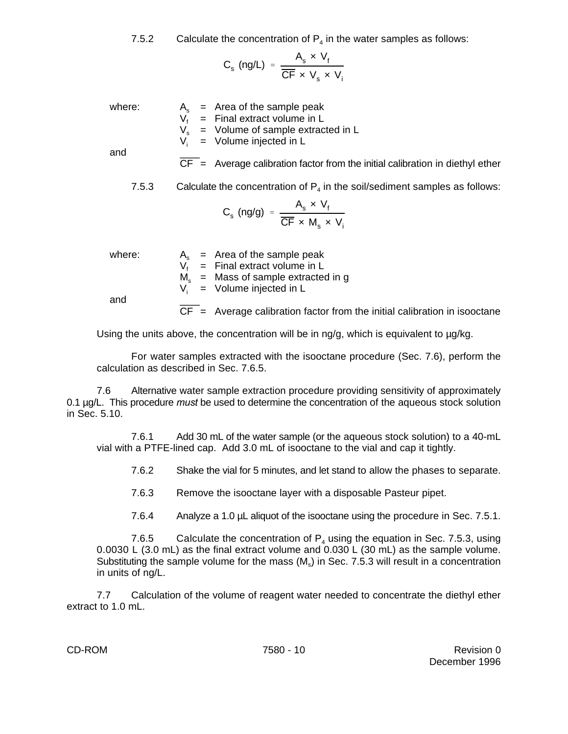7.5.2 Calculate the concentration of  $P_4$  in the water samples as follows:

$$
C_{s} \text{ (ng/L)} = \frac{A_{s} \times V_{f}}{\overline{\text{CF}} \times V_{s} \times V_{i}}
$$

where:  $A_s$  = Area of the sample peak

 $V_f$  = Final extract volume in L<br> $V_s$  = Volume of sample extrac

 $V_s$  = Volume of sample extracted in L<br> $V_i$  = Volume iniected in L

 $=$  Volume injected in L

and

 $\overline{CF}$  = Average calibration factor from the initial calibration in diethyl ether

7.5.3 Calculate the concentration of  $P_4$  in the soil/sediment samples as follows:

$$
C_s \text{ (ng/g)} = \frac{A_s \times V_f}{\overline{CF} \times M_s \times V_i}
$$

where:  $A_s$  = Area of the sample peak  $V_{\rm f}$  = Final extract volume in L  $M_s$  = Mass of sample extracted in g<br>V<sub>i</sub> = Volume iniected in L  $=$  Volume injected in L and

 $\overline{CF}$  = Average calibration factor from the initial calibration in isooctane

Using the units above, the concentration will be in  $nq/q$ , which is equivalent to  $\mu q / kq$ .

For water samples extracted with the isooctane procedure (Sec. 7.6), perform the calculation as described in Sec. 7.6.5.

7.6 Alternative water sample extraction procedure providing sensitivity of approximately 0.1 µg/L. This procedure *must* be used to determine the concentration of the aqueous stock solution in Sec. 5.10.

7.6.1 Add 30 mL of the water sample (or the aqueous stock solution) to a 40-mL vial with a PTFE-lined cap. Add 3.0 mL of isooctane to the vial and cap it tightly.

7.6.2 Shake the vial for 5 minutes, and let stand to allow the phases to separate.

7.6.3 Remove the isooctane layer with a disposable Pasteur pipet.

7.6.4 Analyze a 1.0 µL aliquot of the isooctane using the procedure in Sec. 7.5.1.

7.6.5 Calculate the concentration of  $P_4$  using the equation in Sec. 7.5.3, using 0.0030 L (3.0 mL) as the final extract volume and 0.030 L (30 mL) as the sample volume. Substituting the sample volume for the mass  $(M_s)$  in Sec. 7.5.3 will result in a concentration in units of ng/L.

7.7 Calculation of the volume of reagent water needed to concentrate the diethyl ether extract to 1.0 mL.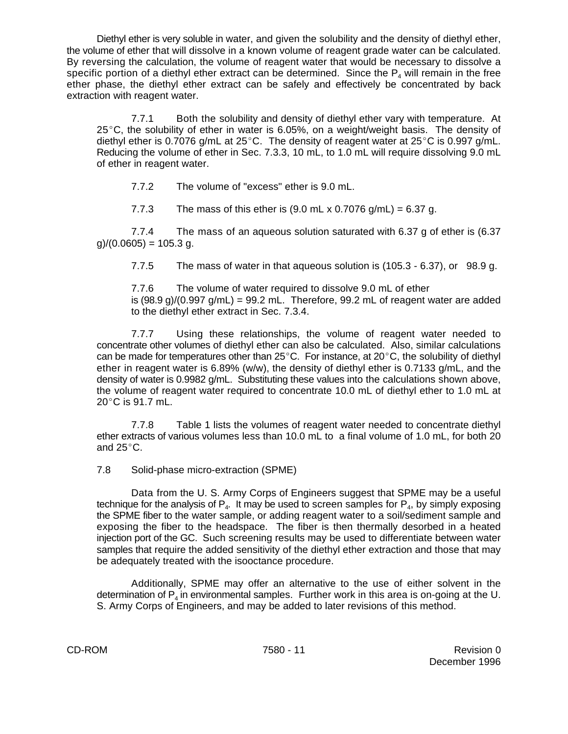Diethyl ether is very soluble in water, and given the solubility and the density of diethyl ether, the volume of ether that will dissolve in a known volume of reagent grade water can be calculated. By reversing the calculation, the volume of reagent water that would be necessary to dissolve a specific portion of a diethyl ether extract can be determined. Since the  $\mathsf{P}_4$  will remain in the free ether phase, the diethyl ether extract can be safely and effectively be concentrated by back extraction with reagent water.

7.7.1 Both the solubility and density of diethyl ether vary with temperature. At 25 $\degree$ C, the solubility of ether in water is 6.05%, on a weight/weight basis. The density of diethyl ether is 0.7076 g/mL at  $25^{\circ}$ C. The density of reagent water at  $25^{\circ}$ C is 0.997 g/mL. Reducing the volume of ether in Sec. 7.3.3, 10 mL, to 1.0 mL will require dissolving 9.0 mL of ether in reagent water.

7.7.2 The volume of "excess" ether is 9.0 mL.

7.7.3 The mass of this ether is  $(9.0 \text{ mL} \times 0.7076 \text{ g/mL}) = 6.37 \text{ g.}$ 

7.7.4 The mass of an aqueous solution saturated with 6.37 g of ether is (6.37  $g$  $/(0.0605) = 105.3 g$ .

7.7.5 The mass of water in that aqueous solution is (105.3 - 6.37), or 98.9 g.

7.7.6 The volume of water required to dissolve 9.0 mL of ether is  $(98.9 g)/(0.997 g/mL) = 99.2 mL$ . Therefore, 99.2 mL of reagent water are added to the diethyl ether extract in Sec. 7.3.4.

7.7.7 Using these relationships, the volume of reagent water needed to concentrate other volumes of diethyl ether can also be calculated. Also, similar calculations can be made for temperatures other than  $25^{\circ}$ C. For instance, at  $20^{\circ}$ C, the solubility of diethyl ether in reagent water is 6.89% (w/w), the density of diethyl ether is 0.7133 g/mL, and the density of water is 0.9982 g/mL. Substituting these values into the calculations shown above, the volume of reagent water required to concentrate 10.0 mL of diethyl ether to 1.0 mL at  $20^{\circ}$ C is 91.7 mL.

7.7.8 Table 1 lists the volumes of reagent water needed to concentrate diethyl ether extracts of various volumes less than 10.0 mL to a final volume of 1.0 mL, for both 20 and  $25^{\circ}$ C.

7.8 Solid-phase micro-extraction (SPME)

Data from the U. S. Army Corps of Engineers suggest that SPME may be a useful technique for the analysis of  $\mathsf{P}_4$ . It may be used to screen samples for  $\mathsf{P}_4$ , by simply exposing the SPME fiber to the water sample, or adding reagent water to a soil/sediment sample and exposing the fiber to the headspace. The fiber is then thermally desorbed in a heated injection port of the GC. Such screening results may be used to differentiate between water samples that require the added sensitivity of the diethyl ether extraction and those that may be adequately treated with the isooctance procedure.

Additionally, SPME may offer an alternative to the use of either solvent in the determination of  $P_4$  in environmental samples. Further work in this area is on-going at the U. S. Army Corps of Engineers, and may be added to later revisions of this method.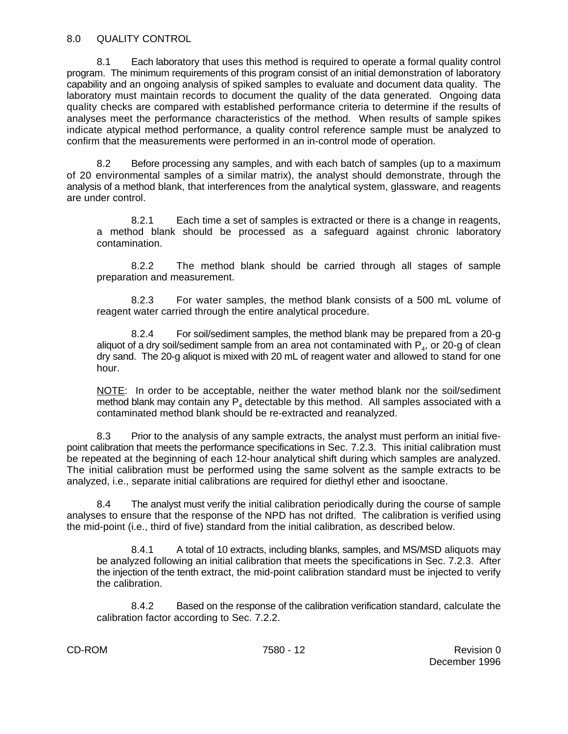8.1 Each laboratory that uses this method is required to operate a formal quality control program. The minimum requirements of this program consist of an initial demonstration of laboratory capability and an ongoing analysis of spiked samples to evaluate and document data quality. The laboratory must maintain records to document the quality of the data generated. Ongoing data quality checks are compared with established performance criteria to determine if the results of analyses meet the performance characteristics of the method. When results of sample spikes indicate atypical method performance, a quality control reference sample must be analyzed to confirm that the measurements were performed in an in-control mode of operation.

8.2 Before processing any samples, and with each batch of samples (up to a maximum of 20 environmental samples of a similar matrix), the analyst should demonstrate, through the analysis of a method blank, that interferences from the analytical system, glassware, and reagents are under control.

8.2.1 Each time a set of samples is extracted or there is a change in reagents, a method blank should be processed as a safeguard against chronic laboratory contamination.

8.2.2 The method blank should be carried through all stages of sample preparation and measurement.

8.2.3 For water samples, the method blank consists of a 500 mL volume of reagent water carried through the entire analytical procedure.

8.2.4 For soil/sediment samples, the method blank may be prepared from a 20-g aliquot of a dry soil/sediment sample from an area not contaminated with  $\mathsf{P}_4$ , or 20-g of clean dry sand. The 20-g aliquot is mixed with 20 mL of reagent water and allowed to stand for one hour.

NOTE: In order to be acceptable, neither the water method blank nor the soil/sediment method blank may contain any  $P_4$  detectable by this method. All samples associated with a contaminated method blank should be re-extracted and reanalyzed.

8.3 Prior to the analysis of any sample extracts, the analyst must perform an initial fivepoint calibration that meets the performance specifications in Sec. 7.2.3. This initial calibration must be repeated at the beginning of each 12-hour analytical shift during which samples are analyzed. The initial calibration must be performed using the same solvent as the sample extracts to be analyzed, i.e., separate initial calibrations are required for diethyl ether and isooctane.

8.4 The analyst must verify the initial calibration periodically during the course of sample analyses to ensure that the response of the NPD has not drifted. The calibration is verified using the mid-point (i.e., third of five) standard from the initial calibration, as described below.

8.4.1 A total of 10 extracts, including blanks, samples, and MS/MSD aliquots may be analyzed following an initial calibration that meets the specifications in Sec. 7.2.3. After the injection of the tenth extract, the mid-point calibration standard must be injected to verify the calibration.

8.4.2 Based on the response of the calibration verification standard, calculate the calibration factor according to Sec. 7.2.2.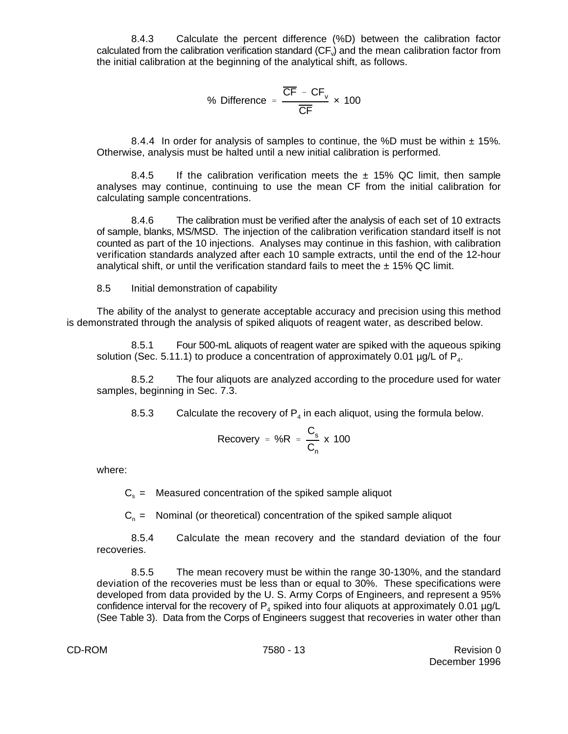8.4.3 Calculate the percent difference (%D) between the calibration factor calculated from the calibration verification standard (CF $_{v}$ ) and the mean calibration factor from the initial calibration at the beginning of the analytical shift, as follows.

% Difference = 
$$
\frac{\overline{CF} - \overline{CF}_v}{\overline{CF}} \times 100
$$

8.4.4 In order for analysis of samples to continue, the %D must be within  $\pm$  15%. Otherwise, analysis must be halted until a new initial calibration is performed.

8.4.5 If the calibration verification meets the  $\pm$  15% QC limit, then sample analyses may continue, continuing to use the mean CF from the initial calibration for calculating sample concentrations.

8.4.6 The calibration must be verified after the analysis of each set of 10 extracts of sample, blanks, MS/MSD. The injection of the calibration verification standard itself is not counted as part of the 10 injections. Analyses may continue in this fashion, with calibration verification standards analyzed after each 10 sample extracts, until the end of the 12-hour analytical shift, or until the verification standard fails to meet the  $\pm$  15% QC limit.

8.5 Initial demonstration of capability

The ability of the analyst to generate acceptable accuracy and precision using this method is demonstrated through the analysis of spiked aliquots of reagent water, as described below.

8.5.1 Four 500-mL aliquots of reagent water are spiked with the aqueous spiking solution (Sec. 5.11.1) to produce a concentration of approximately 0.01  $\mu q/L$  of  $P<sub>4</sub>$ .

8.5.2 The four aliquots are analyzed according to the procedure used for water samples, beginning in Sec. 7.3.

8.5.3 Calculate the recovery of  $P_4$  in each aliquot, using the formula below.

$$
Recovery = \%R = \frac{C_s}{C_n} \times 100
$$

where:

 $C<sub>s</sub>$  = Measured concentration of the spiked sample aliquot

 $C_n$  = Nominal (or theoretical) concentration of the spiked sample aliquot

8.5.4 Calculate the mean recovery and the standard deviation of the four recoveries.

8.5.5 The mean recovery must be within the range 30-130%, and the standard deviation of the recoveries must be less than or equal to 30%. These specifications were developed from data provided by the U. S. Army Corps of Engineers, and represent a 95% confidence interval for the recovery of  $P_4$  spiked into four aliquots at approximately 0.01  $\mu$ g/L (See Table 3). Data from the Corps of Engineers suggest that recoveries in water other than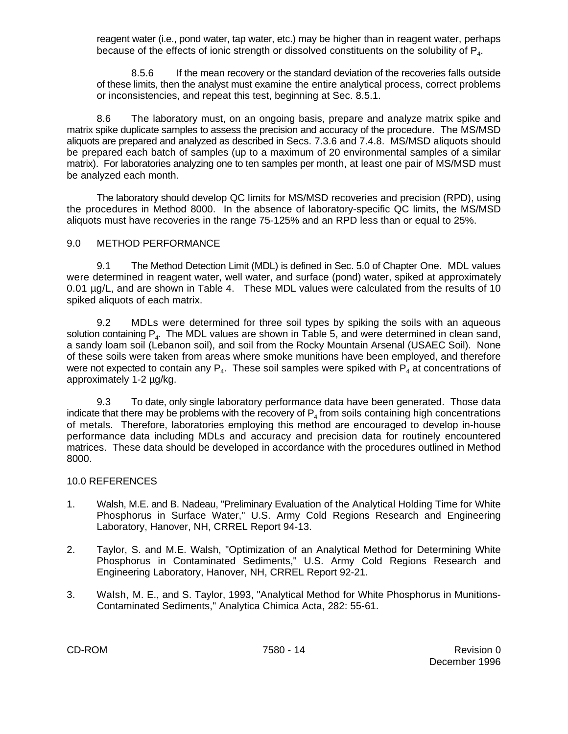reagent water (i.e., pond water, tap water, etc.) may be higher than in reagent water, perhaps because of the effects of ionic strength or dissolved constituents on the solubility of  $P_4$ .

8.5.6 If the mean recovery or the standard deviation of the recoveries falls outside of these limits, then the analyst must examine the entire analytical process, correct problems or inconsistencies, and repeat this test, beginning at Sec. 8.5.1.

8.6 The laboratory must, on an ongoing basis, prepare and analyze matrix spike and matrix spike duplicate samples to assess the precision and accuracy of the procedure. The MS/MSD aliquots are prepared and analyzed as described in Secs. 7.3.6 and 7.4.8. MS/MSD aliquots should be prepared each batch of samples (up to a maximum of 20 environmental samples of a similar matrix). For laboratories analyzing one to ten samples per month, at least one pair of MS/MSD must be analyzed each month.

The laboratory should develop QC limits for MS/MSD recoveries and precision (RPD), using the procedures in Method 8000. In the absence of laboratory-specific QC limits, the MS/MSD aliquots must have recoveries in the range 75-125% and an RPD less than or equal to 25%.

## 9.0 METHOD PERFORMANCE

9.1 The Method Detection Limit (MDL) is defined in Sec. 5.0 of Chapter One. MDL values were determined in reagent water, well water, and surface (pond) water, spiked at approximately 0.01 µg/L, and are shown in Table 4. These MDL values were calculated from the results of 10 spiked aliquots of each matrix.

9.2 MDLs were determined for three soil types by spiking the soils with an aqueous solution containing  $P_4$ . The MDL values are shown in Table 5, and were determined in clean sand, a sandy loam soil (Lebanon soil), and soil from the Rocky Mountain Arsenal (USAEC Soil). None of these soils were taken from areas where smoke munitions have been employed, and therefore were not expected to contain any  $P_4$ . These soil samples were spiked with  $P_4$  at concentrations of approximately 1-2 µg/kg.

9.3 To date, only single laboratory performance data have been generated. Those data indicate that there may be problems with the recovery of  $\mathsf{P}_4$  from soils containing high concentrations of metals. Therefore, laboratories employing this method are encouraged to develop in-house performance data including MDLs and accuracy and precision data for routinely encountered matrices. These data should be developed in accordance with the procedures outlined in Method 8000.

#### 10.0 REFERENCES

- 1. Walsh, M.E. and B. Nadeau, "Preliminary Evaluation of the Analytical Holding Time for White Phosphorus in Surface Water," U.S. Army Cold Regions Research and Engineering Laboratory, Hanover, NH, CRREL Report 94-13.
- 2. Taylor, S. and M.E. Walsh, "Optimization of an Analytical Method for Determining White Phosphorus in Contaminated Sediments," U.S. Army Cold Regions Research and Engineering Laboratory, Hanover, NH, CRREL Report 92-21.
- 3. Walsh, M. E., and S. Taylor, 1993, "Analytical Method for White Phosphorus in Munitions-Contaminated Sediments," Analytica Chimica Acta, 282: 55-61.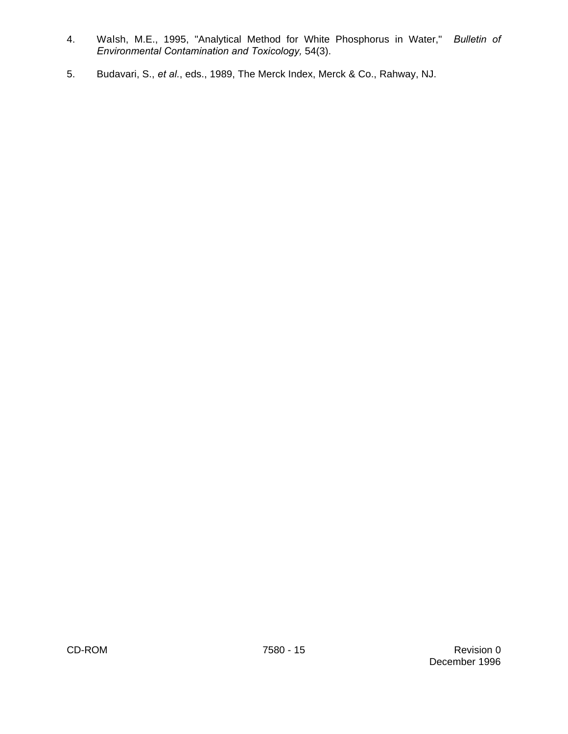- 4. Walsh, M.E., 1995, "Analytical Method for White Phosphorus in Water," *Bulletin of Environmental Contamination and Toxicology,* 54(3).
- 5. Budavari, S., *et al.*, eds., 1989, The Merck Index, Merck & Co., Rahway, NJ.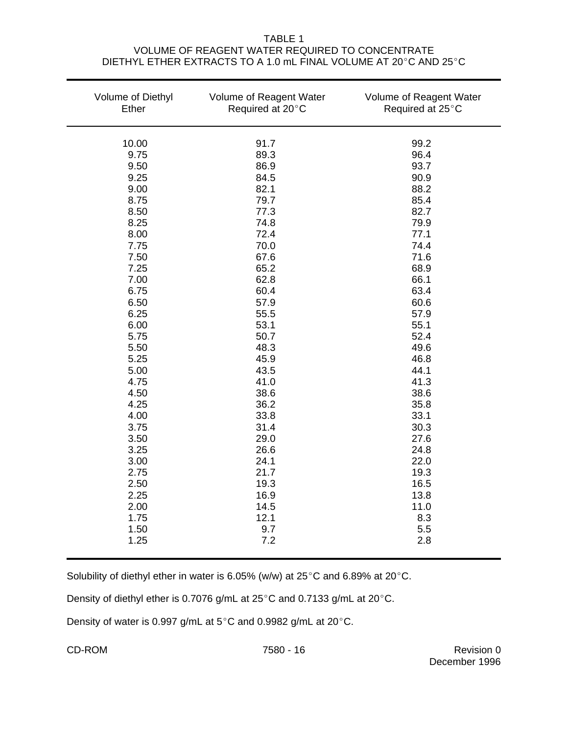### TABLE 1 VOLUME OF REAGENT WATER REQUIRED TO CONCENTRATE DIETHYL ETHER EXTRACTS TO A 1.0 mL FINAL VOLUME AT 20°C AND 25°C

| Volume of Diethyl<br>Ether | Volume of Reagent Water<br>Required at 20°C | Volume of Reagent Water<br>Required at 25°C |
|----------------------------|---------------------------------------------|---------------------------------------------|
| 10.00                      | 91.7                                        | 99.2                                        |
| 9.75                       | 89.3                                        | 96.4                                        |
| 9.50                       | 86.9                                        | 93.7                                        |
| 9.25                       | 84.5                                        | 90.9                                        |
| 9.00                       | 82.1                                        | 88.2                                        |
| 8.75                       | 79.7                                        | 85.4                                        |
| 8.50                       | 77.3                                        | 82.7                                        |
| 8.25                       | 74.8                                        | 79.9                                        |
| 8.00                       | 72.4                                        | 77.1                                        |
| 7.75                       | 70.0                                        | 74.4                                        |
| 7.50                       | 67.6                                        | 71.6                                        |
| 7.25                       | 65.2                                        | 68.9                                        |
| 7.00                       | 62.8                                        | 66.1                                        |
| 6.75                       | 60.4                                        | 63.4                                        |
| 6.50                       | 57.9                                        | 60.6                                        |
| 6.25                       | 55.5                                        | 57.9                                        |
| 6.00                       | 53.1                                        | 55.1                                        |
| 5.75                       | 50.7                                        | 52.4                                        |
| 5.50                       | 48.3                                        | 49.6                                        |
| 5.25                       | 45.9                                        | 46.8                                        |
| 5.00                       | 43.5                                        | 44.1                                        |
| 4.75                       | 41.0                                        | 41.3                                        |
| 4.50                       | 38.6                                        | 38.6                                        |
| 4.25                       | 36.2                                        | 35.8                                        |
| 4.00                       | 33.8                                        | 33.1                                        |
| 3.75                       | 31.4                                        | 30.3                                        |
| 3.50                       | 29.0                                        | 27.6                                        |
| 3.25                       | 26.6                                        | 24.8                                        |
| 3.00                       | 24.1                                        | 22.0                                        |
| 2.75                       | 21.7                                        | 19.3                                        |
| 2.50                       | 19.3                                        | 16.5                                        |
| 2.25                       | 16.9                                        | 13.8                                        |
| 2.00                       | 14.5                                        | 11.0                                        |
| 1.75                       | 12.1                                        | 8.3                                         |
| 1.50                       | 9.7                                         | 5.5                                         |
| 1.25                       | 7.2                                         | 2.8                                         |

Solubility of diethyl ether in water is 6.05% (w/w) at 25 $^{\circ}$ C and 6.89% at 20 $^{\circ}$ C.

Density of diethyl ether is 0.7076 g/mL at  $25^{\circ}$ C and 0.7133 g/mL at 20 $^{\circ}$ C.

Density of water is 0.997 g/mL at  $5^{\circ}$ C and 0.9982 g/mL at 20 $^{\circ}$ C.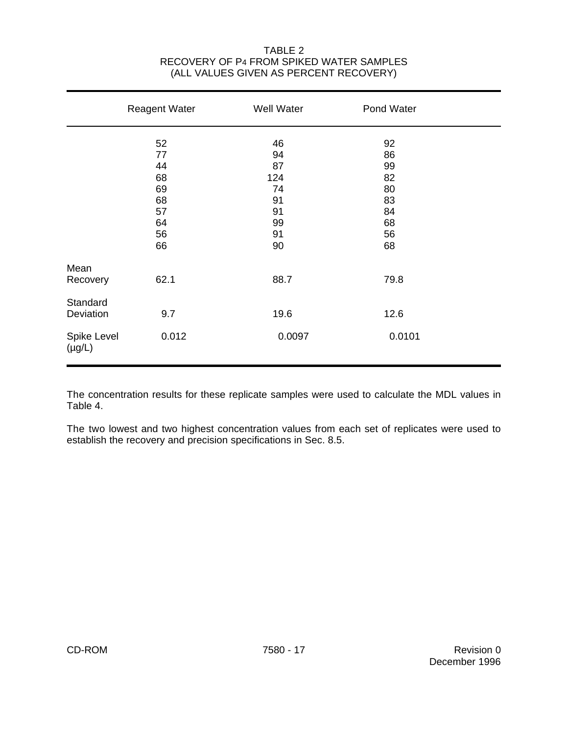### TABLE 2 RECOVERY OF P4 FROM SPIKED WATER SAMPLES (ALL VALUES GIVEN AS PERCENT RECOVERY)

|                            | <b>Reagent Water</b> | Well Water | Pond Water |  |
|----------------------------|----------------------|------------|------------|--|
|                            | 52                   | 46         | 92         |  |
|                            | 77                   | 94         | 86         |  |
|                            | 44                   | 87         | 99         |  |
|                            | 68                   | 124        | 82         |  |
|                            | 69                   | 74         | 80         |  |
|                            | 68                   | 91         | 83         |  |
|                            | 57                   | 91         | 84         |  |
|                            | 64                   | 99         | 68         |  |
|                            | 56                   | 91         | 56         |  |
|                            | 66                   | 90         | 68         |  |
| Mean                       |                      |            |            |  |
| Recovery                   | 62.1                 | 88.7       | 79.8       |  |
| Standard                   |                      |            |            |  |
| Deviation                  | 9.7                  | 19.6       | 12.6       |  |
| Spike Level<br>$(\mu g/L)$ | 0.012                | 0.0097     | 0.0101     |  |

The concentration results for these replicate samples were used to calculate the MDL values in Table 4.

The two lowest and two highest concentration values from each set of replicates were used to establish the recovery and precision specifications in Sec. 8.5.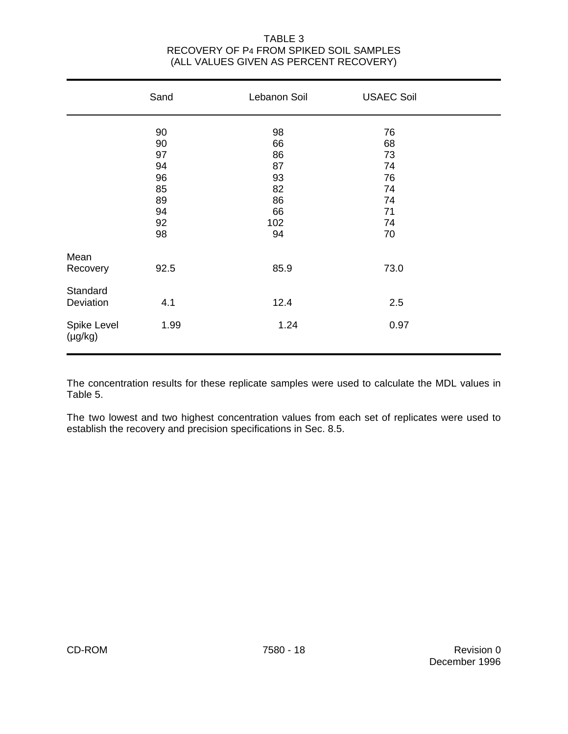## TABLE 3 RECOVERY OF P4 FROM SPIKED SOIL SAMPLES (ALL VALUES GIVEN AS PERCENT RECOVERY)

|                                           | Sand                                                     | Lebanon Soil                                              | <b>USAEC Soil</b>                                        |  |
|-------------------------------------------|----------------------------------------------------------|-----------------------------------------------------------|----------------------------------------------------------|--|
|                                           | 90<br>90<br>97<br>94<br>96<br>85<br>89<br>94<br>92<br>98 | 98<br>66<br>86<br>87<br>93<br>82<br>86<br>66<br>102<br>94 | 76<br>68<br>73<br>74<br>76<br>74<br>74<br>71<br>74<br>70 |  |
| Mean<br>Recovery<br>Standard<br>Deviation | 92.5<br>4.1                                              | 85.9<br>12.4                                              | 73.0<br>2.5                                              |  |
| Spike Level<br>$(\mu g/kg)$               | 1.99                                                     | 1.24                                                      | 0.97                                                     |  |

The concentration results for these replicate samples were used to calculate the MDL values in Table 5.

The two lowest and two highest concentration values from each set of replicates were used to establish the recovery and precision specifications in Sec. 8.5.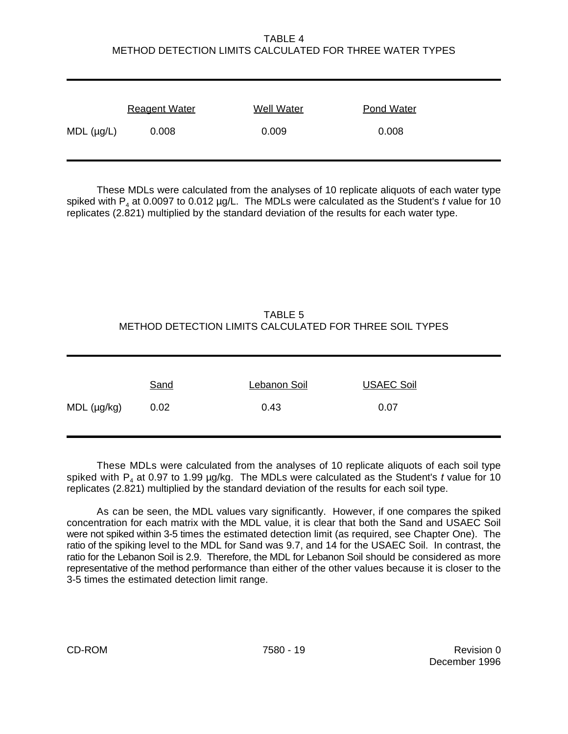## TABLE 4 METHOD DETECTION LIMITS CALCULATED FOR THREE WATER TYPES

|                    | <b>Reagent Water</b> | <b>Well Water</b> | <b>Pond Water</b> |
|--------------------|----------------------|-------------------|-------------------|
| $MDL$ ( $\mu$ g/L) | 0.008                | 0.009             | 0.008             |

These MDLs were calculated from the analyses of 10 replicate aliquots of each water type spiked with P $_{\scriptscriptstyle 4}$  at 0.0097 to 0.012 µg/L. The MDLs were calculated as the Student's  $t$  value for 10 replicates (2.821) multiplied by the standard deviation of the results for each water type.

# TABLE 5 METHOD DETECTION LIMITS CALCULATED FOR THREE SOIL TYPES

These MDLs were calculated from the analyses of 10 replicate aliquots of each soil type spiked with P<sub>4</sub> at 0.97 to 1.99 µg/kg. The MDLs were calculated as the Student's *t* value for 10 replicates (2.821) multiplied by the standard deviation of the results for each soil type.

As can be seen, the MDL values vary significantly. However, if one compares the spiked concentration for each matrix with the MDL value, it is clear that both the Sand and USAEC Soil were not spiked within 3-5 times the estimated detection limit (as required, see Chapter One). The ratio of the spiking level to the MDL for Sand was 9.7, and 14 for the USAEC Soil. In contrast, the ratio for the Lebanon Soil is 2.9. Therefore, the MDL for Lebanon Soil should be considered as more representative of the method performance than either of the other values because it is closer to the 3-5 times the estimated detection limit range.